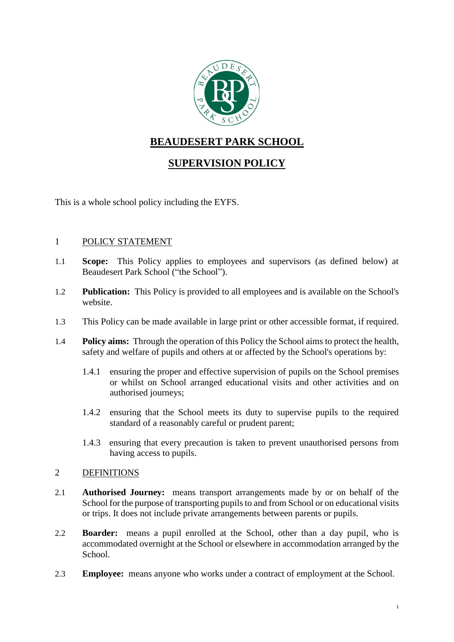

# **BEAUDESERT PARK SCHOOL**

## **SUPERVISION POLICY**

This is a whole school policy including the EYFS.

## 1 POLICY STATEMENT

- 1.1 **Scope:** This Policy applies to employees and supervisors (as defined below) at Beaudesert Park School ("the School").
- 1.2 **Publication:** This Policy is provided to all employees and is available on the School's website.
- 1.3 This Policy can be made available in large print or other accessible format, if required.
- 1.4 **Policy aims:** Through the operation of this Policy the School aims to protect the health, safety and welfare of pupils and others at or affected by the School's operations by:
	- 1.4.1 ensuring the proper and effective supervision of pupils on the School premises or whilst on School arranged educational visits and other activities and on authorised journeys;
	- 1.4.2 ensuring that the School meets its duty to supervise pupils to the required standard of a reasonably careful or prudent parent;
	- 1.4.3 ensuring that every precaution is taken to prevent unauthorised persons from having access to pupils.

#### 2 DEFINITIONS

- 2.1 **Authorised Journey:** means transport arrangements made by or on behalf of the School for the purpose of transporting pupils to and from School or on educational visits or trips. It does not include private arrangements between parents or pupils.
- 2.2 **Boarder:** means a pupil enrolled at the School, other than a day pupil, who is accommodated overnight at the School or elsewhere in accommodation arranged by the School.
- <span id="page-0-0"></span>2.3 **Employee:** means anyone who works under a contract of employment at the School.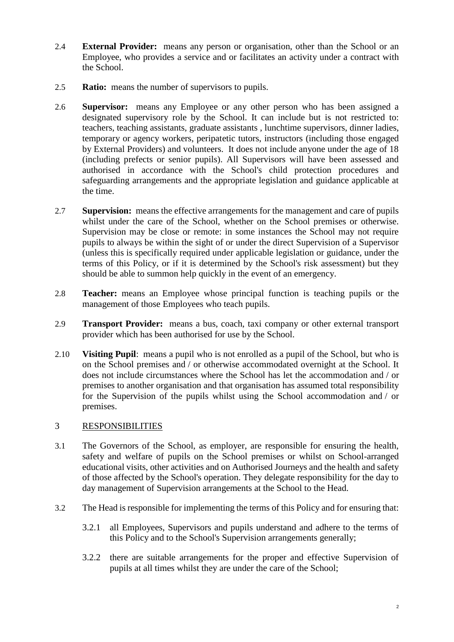- 2.4 **External Provider:** means any person or organisation, other than the School or an Employee, who provides a service and or facilitates an activity under a contract with the School.
- 2.5 **Ratio:** means the number of supervisors to pupils.
- <span id="page-1-0"></span>2.6 **Supervisor:** means any Employee or any other person who has been assigned a designated supervisory role by the School. It can include but is not restricted to: teachers, teaching assistants, graduate assistants , lunchtime supervisors, dinner ladies, temporary or agency workers, peripatetic tutors, instructors (including those engaged by External Providers) and volunteers. It does not include anyone under the age of 18 (including prefects or senior pupils). All Supervisors will have been assessed and authorised in accordance with the School's child protection procedures and safeguarding arrangements and the appropriate legislation and guidance applicable at the time.
- 2.7 **Supervision:** means the effective arrangements for the management and care of pupils whilst under the care of the School, whether on the School premises or otherwise. Supervision may be close or remote: in some instances the School may not require pupils to always be within the sight of or under the direct Supervision of a Supervisor (unless this is specifically required under applicable legislation or guidance, under the terms of this Policy, or if it is determined by the School's risk assessment) but they should be able to summon help quickly in the event of an emergency.
- 2.8 **Teacher:** means an Employee whose principal function is teaching pupils or the management of those Employees who teach pupils.
- 2.9 **Transport Provider:** means a bus, coach, taxi company or other external transport provider which has been authorised for use by the School.
- 2.10 **Visiting Pupil**: means a pupil who is not enrolled as a pupil of the School, but who is on the School premises and / or otherwise accommodated overnight at the School. It does not include circumstances where the School has let the accommodation and / or premises to another organisation and that organisation has assumed total responsibility for the Supervision of the pupils whilst using the School accommodation and / or premises.

## 3 RESPONSIBILITIES

- 3.1 The Governors of the School, as employer, are responsible for ensuring the health, safety and welfare of pupils on the School premises or whilst on School-arranged educational visits, other activities and on Authorised Journeys and the health and safety of those affected by the School's operation. They delegate responsibility for the day to day management of Supervision arrangements at the School to the Head.
- 3.2 The Head is responsible for implementing the terms of this Policy and for ensuring that:
	- 3.2.1 all Employees, Supervisors and pupils understand and adhere to the terms of this Policy and to the School's Supervision arrangements generally;
	- 3.2.2 there are suitable arrangements for the proper and effective Supervision of pupils at all times whilst they are under the care of the School;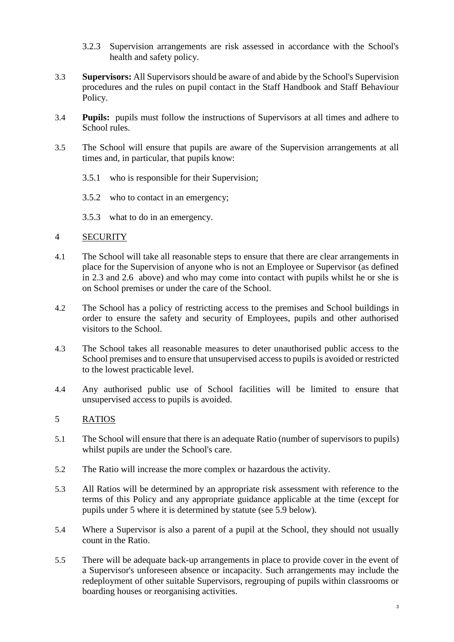- 3.2.3 Supervision arrangements are risk assessed in accordance with the School's health and safety policy.
- 3.3 **Supervisors:** All Supervisors should be aware of and abide by the School's Supervision procedures and the rules on pupil contact in the Staff Handbook and Staff Behaviour Policy.
- 3.4 **Pupils:** pupils must follow the instructions of Supervisors at all times and adhere to School rules.
- 3.5 The School will ensure that pupils are aware of the Supervision arrangements at all times and, in particular, that pupils know:
	- 3.5.1 who is responsible for their Supervision;
	- 3.5.2 who to contact in an emergency;
	- 3.5.3 what to do in an emergency.

#### 4 SECURITY

- 4.1 The School will take all reasonable steps to ensure that there are clear arrangements in place for the Supervision of anyone who is not an Employee or Supervisor (as defined in [2.3](#page-0-0) and [2.6](#page-1-0) above) and who may come into contact with pupils whilst he or she is on School premises or under the care of the School.
- 4.2 The School has a policy of restricting access to the premises and School buildings in order to ensure the safety and security of Employees, pupils and other authorised visitors to the School.
- 4.3 The School takes all reasonable measures to deter unauthorised public access to the School premises and to ensure that unsupervised access to pupils is avoided or restricted to the lowest practicable level.
- 4.4 Any authorised public use of School facilities will be limited to ensure that unsupervised access to pupils is avoided.

## 5 RATIOS

- 5.1 The School will ensure that there is an adequate Ratio (number of supervisors to pupils) whilst pupils are under the School's care.
- 5.2 The Ratio will increase the more complex or hazardous the activity.
- 5.3 All Ratios will be determined by an appropriate risk assessment with reference to the terms of this Policy and any appropriate guidance applicable at the time (except for pupils under 5 where it is determined by statute (see [5.9](#page-3-0) below).
- 5.4 Where a Supervisor is also a parent of a pupil at the School, they should not usually count in the Ratio.
- 5.5 There will be adequate back-up arrangements in place to provide cover in the event of a Supervisor's unforeseen absence or incapacity. Such arrangements may include the redeployment of other suitable Supervisors, regrouping of pupils within classrooms or boarding houses or reorganising activities.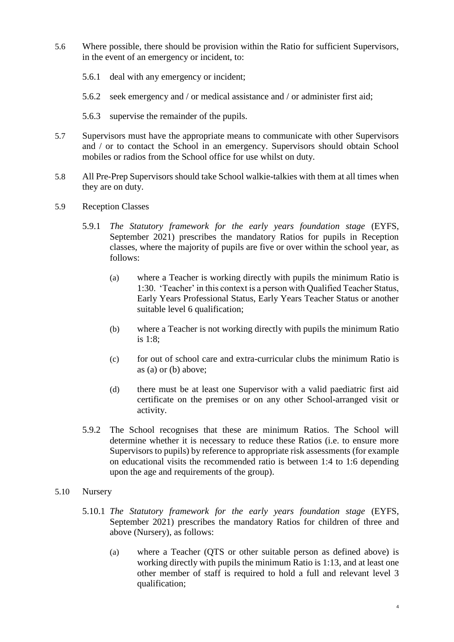- 5.6 Where possible, there should be provision within the Ratio for sufficient Supervisors, in the event of an emergency or incident, to:
	- 5.6.1 deal with any emergency or incident;
	- 5.6.2 seek emergency and / or medical assistance and / or administer first aid;
	- 5.6.3 supervise the remainder of the pupils.
- 5.7 Supervisors must have the appropriate means to communicate with other Supervisors and / or to contact the School in an emergency. Supervisors should obtain School mobiles or radios from the School office for use whilst on duty.
- 5.8 All Pre-Prep Supervisors should take School walkie-talkies with them at all times when they are on duty.
- <span id="page-3-0"></span>5.9 Reception Classes
	- 5.9.1 *The Statutory framework for the early years foundation stage* (EYFS, September 2021) prescribes the mandatory Ratios for pupils in Reception classes, where the majority of pupils are five or over within the school year, as follows:
		- (a) where a Teacher is working directly with pupils the minimum Ratio is 1:30. 'Teacher' in this context is a person with Qualified Teacher Status, Early Years Professional Status, Early Years Teacher Status or another suitable level 6 qualification;
		- (b) where a Teacher is not working directly with pupils the minimum Ratio is 1:8;
		- (c) for out of school care and extra-curricular clubs the minimum Ratio is as (a) or (b) above;
		- (d) there must be at least one Supervisor with a valid paediatric first aid certificate on the premises or on any other School-arranged visit or activity.
	- 5.9.2 The School recognises that these are minimum Ratios. The School will determine whether it is necessary to reduce these Ratios (i.e. to ensure more Supervisors to pupils) by reference to appropriate risk assessments (for example on educational visits the recommended ratio is between 1:4 to 1:6 depending upon the age and requirements of the group).
- 5.10 Nursery
	- 5.10.1 *The Statutory framework for the early years foundation stage* (EYFS, September 2021) prescribes the mandatory Ratios for children of three and above (Nursery), as follows:
		- (a) where a Teacher (QTS or other suitable person as defined above) is working directly with pupils the minimum Ratio is 1:13, and at least one other member of staff is required to hold a full and relevant level 3 qualification;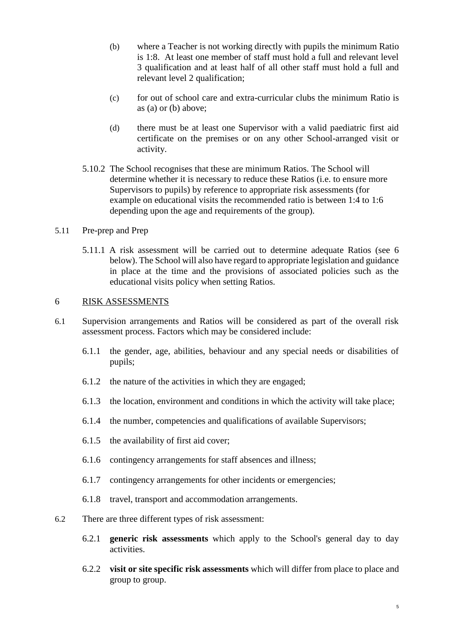- (b) where a Teacher is not working directly with pupils the minimum Ratio is 1:8. At least one member of staff must hold a full and relevant level 3 qualification and at least half of all other staff must hold a full and relevant level 2 qualification;
- (c) for out of school care and extra-curricular clubs the minimum Ratio is as (a) or (b) above;
- (d) there must be at least one Supervisor with a valid paediatric first aid certificate on the premises or on any other School-arranged visit or activity.
- 5.10.2 The School recognises that these are minimum Ratios. The School will determine whether it is necessary to reduce these Ratios (i.e. to ensure more Supervisors to pupils) by reference to appropriate risk assessments (for example on educational visits the recommended ratio is between 1:4 to 1:6 depending upon the age and requirements of the group).
- 5.11 Pre-prep and Prep
	- 5.11.1 A risk assessment will be carried out to determine adequate Ratios (see [6](#page-4-0) below). The School will also have regard to appropriate legislation and guidance in place at the time and the provisions of associated policies such as the educational visits policy when setting Ratios.

#### <span id="page-4-0"></span>6 RISK ASSESSMENTS

- 6.1 Supervision arrangements and Ratios will be considered as part of the overall risk assessment process. Factors which may be considered include:
	- 6.1.1 the gender, age, abilities, behaviour and any special needs or disabilities of pupils;
	- 6.1.2 the nature of the activities in which they are engaged;
	- 6.1.3 the location, environment and conditions in which the activity will take place;
	- 6.1.4 the number, competencies and qualifications of available Supervisors;
	- 6.1.5 the availability of first aid cover;
	- 6.1.6 contingency arrangements for staff absences and illness;
	- 6.1.7 contingency arrangements for other incidents or emergencies;
	- 6.1.8 travel, transport and accommodation arrangements.
- 6.2 There are three different types of risk assessment:
	- 6.2.1 **generic risk assessments** which apply to the School's general day to day activities.
	- 6.2.2 **visit or site specific risk assessments** which will differ from place to place and group to group.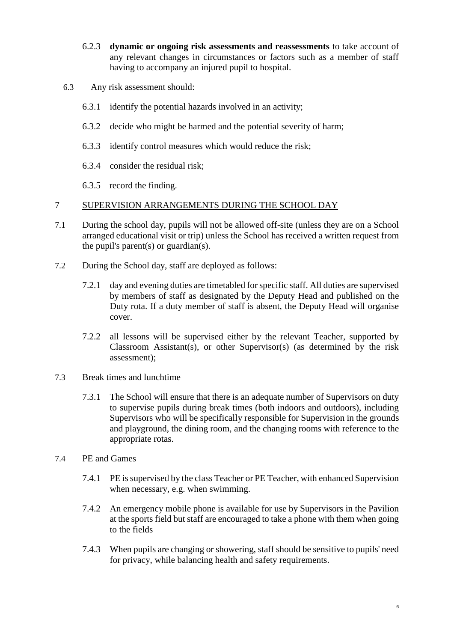- 6.2.3 **dynamic or ongoing risk assessments and reassessments** to take account of any relevant changes in circumstances or factors such as a member of staff having to accompany an injured pupil to hospital.
- 6.3 Any risk assessment should:
	- 6.3.1 identify the potential hazards involved in an activity;
	- 6.3.2 decide who might be harmed and the potential severity of harm;
	- 6.3.3 identify control measures which would reduce the risk;
	- 6.3.4 consider the residual risk;
	- 6.3.5 record the finding.

#### 7 SUPERVISION ARRANGEMENTS DURING THE SCHOOL DAY

- 7.1 During the school day, pupils will not be allowed off-site (unless they are on a School arranged educational visit or trip) unless the School has received a written request from the pupil's parent(s) or guardian(s).
- 7.2 During the School day, staff are deployed as follows:
	- 7.2.1 day and evening duties are timetabled for specific staff. All duties are supervised by members of staff as designated by the Deputy Head and published on the Duty rota. If a duty member of staff is absent, the Deputy Head will organise cover.
	- 7.2.2 all lessons will be supervised either by the relevant Teacher, supported by Classroom Assistant(s), or other Supervisor(s) (as determined by the risk assessment);
- 7.3 Break times and lunchtime
	- 7.3.1 The School will ensure that there is an adequate number of Supervisors on duty to supervise pupils during break times (both indoors and outdoors), including Supervisors who will be specifically responsible for Supervision in the grounds and playground, the dining room, and the changing rooms with reference to the appropriate rotas.
- 7.4 PE and Games
	- 7.4.1 PE is supervised by the class Teacher or PE Teacher, with enhanced Supervision when necessary, e.g. when swimming.
	- 7.4.2 An emergency mobile phone is available for use by Supervisors in the Pavilion at the sports field but staff are encouraged to take a phone with them when going to the fields
	- 7.4.3 When pupils are changing or showering, staff should be sensitive to pupils' need for privacy, while balancing health and safety requirements.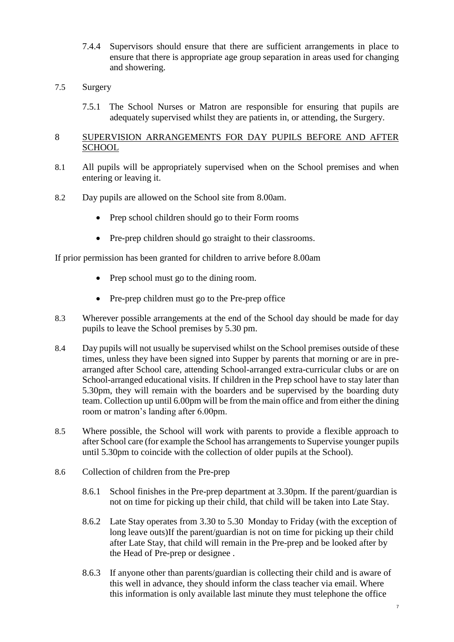- 7.4.4 Supervisors should ensure that there are sufficient arrangements in place to ensure that there is appropriate age group separation in areas used for changing and showering.
- 7.5 Surgery
	- 7.5.1 The School Nurses or Matron are responsible for ensuring that pupils are adequately supervised whilst they are patients in, or attending, the Surgery.

#### 8 SUPERVISION ARRANGEMENTS FOR DAY PUPILS BEFORE AND AFTER **SCHOOL**

- 8.1 All pupils will be appropriately supervised when on the School premises and when entering or leaving it.
- 8.2 Day pupils are allowed on the School site from 8.00am.
	- Prep school children should go to their Form rooms
	- Pre-prep children should go straight to their classrooms.

If prior permission has been granted for children to arrive before 8.00am

- Prep school must go to the dining room.
- Pre-prep children must go to the Pre-prep office
- 8.3 Wherever possible arrangements at the end of the School day should be made for day pupils to leave the School premises by 5.30 pm.
- 8.4 Day pupils will not usually be supervised whilst on the School premises outside of these times, unless they have been signed into Supper by parents that morning or are in prearranged after School care, attending School-arranged extra-curricular clubs or are on School-arranged educational visits. If children in the Prep school have to stay later than 5.30pm, they will remain with the boarders and be supervised by the boarding duty team. Collection up until 6.00pm will be from the main office and from either the dining room or matron's landing after 6.00pm.
- 8.5 Where possible, the School will work with parents to provide a flexible approach to after School care (for example the School has arrangements to Supervise younger pupils until 5.30pm to coincide with the collection of older pupils at the School).
- 8.6 Collection of children from the Pre-prep
	- 8.6.1 School finishes in the Pre-prep department at 3.30pm. If the parent/guardian is not on time for picking up their child, that child will be taken into Late Stay.
	- 8.6.2 Late Stay operates from 3.30 to 5.30 Monday to Friday (with the exception of long leave outs)If the parent/guardian is not on time for picking up their child after Late Stay, that child will remain in the Pre-prep and be looked after by the Head of Pre-prep or designee .
	- 8.6.3 If anyone other than parents/guardian is collecting their child and is aware of this well in advance, they should inform the class teacher via email. Where this information is only available last minute they must telephone the office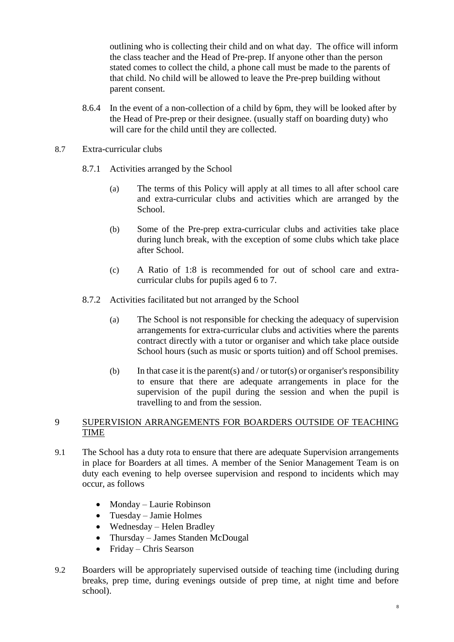outlining who is collecting their child and on what day. The office will inform the class teacher and the Head of Pre-prep. If anyone other than the person stated comes to collect the child, a phone call must be made to the parents of that child. No child will be allowed to leave the Pre-prep building without parent consent.

- 8.6.4 In the event of a non-collection of a child by 6pm, they will be looked after by the Head of Pre-prep or their designee. (usually staff on boarding duty) who will care for the child until they are collected.
- 8.7 Extra-curricular clubs
	- 8.7.1 Activities arranged by the School
		- (a) The terms of this Policy will apply at all times to all after school care and extra-curricular clubs and activities which are arranged by the School.
		- (b) Some of the Pre-prep extra-curricular clubs and activities take place during lunch break, with the exception of some clubs which take place after School.
		- (c) A Ratio of 1:8 is recommended for out of school care and extracurricular clubs for pupils aged 6 to 7.
	- 8.7.2 Activities facilitated but not arranged by the School
		- (a) The School is not responsible for checking the adequacy of supervision arrangements for extra-curricular clubs and activities where the parents contract directly with a tutor or organiser and which take place outside School hours (such as music or sports tuition) and off School premises.
		- (b) In that case it is the parent(s) and / or tutor(s) or organiser's responsibility to ensure that there are adequate arrangements in place for the supervision of the pupil during the session and when the pupil is travelling to and from the session.

## 9 SUPERVISION ARRANGEMENTS FOR BOARDERS OUTSIDE OF TEACHING TIME

- 9.1 The School has a duty rota to ensure that there are adequate Supervision arrangements in place for Boarders at all times. A member of the Senior Management Team is on duty each evening to help oversee supervision and respond to incidents which may occur, as follows
	- Monday Laurie Robinson
	- Tuesday Jamie Holmes
	- Wednesday Helen Bradley
	- Thursday James Standen McDougal
	- Friday Chris Searson
- 9.2 Boarders will be appropriately supervised outside of teaching time (including during breaks, prep time, during evenings outside of prep time, at night time and before school).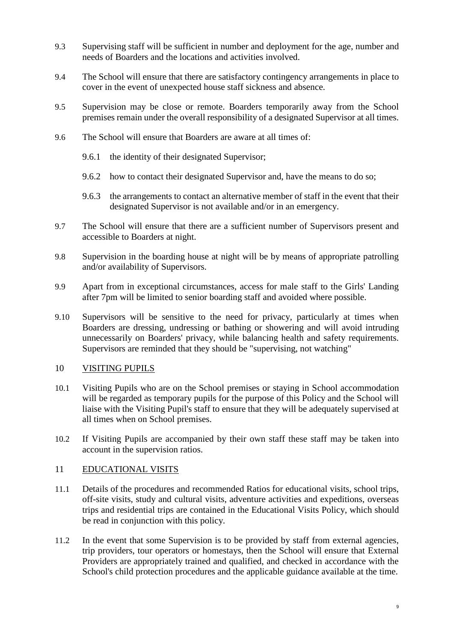- 9.3 Supervising staff will be sufficient in number and deployment for the age, number and needs of Boarders and the locations and activities involved.
- 9.4 The School will ensure that there are satisfactory contingency arrangements in place to cover in the event of unexpected house staff sickness and absence.
- 9.5 Supervision may be close or remote. Boarders temporarily away from the School premises remain under the overall responsibility of a designated Supervisor at all times.
- 9.6 The School will ensure that Boarders are aware at all times of:
	- 9.6.1 the identity of their designated Supervisor;
	- 9.6.2 how to contact their designated Supervisor and, have the means to do so;
	- 9.6.3 the arrangements to contact an alternative member of staff in the event that their designated Supervisor is not available and/or in an emergency.
- 9.7 The School will ensure that there are a sufficient number of Supervisors present and accessible to Boarders at night.
- 9.8 Supervision in the boarding house at night will be by means of appropriate patrolling and/or availability of Supervisors.
- 9.9 Apart from in exceptional circumstances, access for male staff to the Girls' Landing after 7pm will be limited to senior boarding staff and avoided where possible.
- 9.10 Supervisors will be sensitive to the need for privacy, particularly at times when Boarders are dressing, undressing or bathing or showering and will avoid intruding unnecessarily on Boarders' privacy, while balancing health and safety requirements. Supervisors are reminded that they should be "supervising, not watching"

#### 10 VISITING PUPILS

- 10.1 Visiting Pupils who are on the School premises or staying in School accommodation will be regarded as temporary pupils for the purpose of this Policy and the School will liaise with the Visiting Pupil's staff to ensure that they will be adequately supervised at all times when on School premises.
- 10.2 If Visiting Pupils are accompanied by their own staff these staff may be taken into account in the supervision ratios.

#### 11 EDUCATIONAL VISITS

- 11.1 Details of the procedures and recommended Ratios for educational visits, school trips, off-site visits, study and cultural visits, adventure activities and expeditions, overseas trips and residential trips are contained in the Educational Visits Policy, which should be read in conjunction with this policy.
- 11.2 In the event that some Supervision is to be provided by staff from external agencies, trip providers, tour operators or homestays, then the School will ensure that External Providers are appropriately trained and qualified, and checked in accordance with the School's child protection procedures and the applicable guidance available at the time.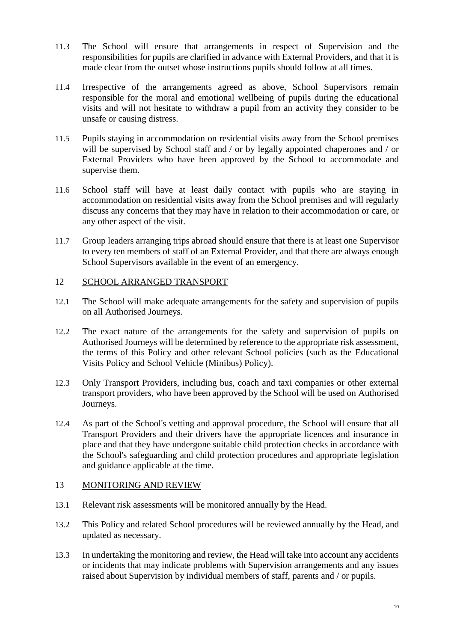- 11.3 The School will ensure that arrangements in respect of Supervision and the responsibilities for pupils are clarified in advance with External Providers, and that it is made clear from the outset whose instructions pupils should follow at all times.
- 11.4 Irrespective of the arrangements agreed as above, School Supervisors remain responsible for the moral and emotional wellbeing of pupils during the educational visits and will not hesitate to withdraw a pupil from an activity they consider to be unsafe or causing distress.
- 11.5 Pupils staying in accommodation on residential visits away from the School premises will be supervised by School staff and / or by legally appointed chaperones and / or External Providers who have been approved by the School to accommodate and supervise them.
- 11.6 School staff will have at least daily contact with pupils who are staying in accommodation on residential visits away from the School premises and will regularly discuss any concerns that they may have in relation to their accommodation or care, or any other aspect of the visit.
- 11.7 Group leaders arranging trips abroad should ensure that there is at least one Supervisor to every ten members of staff of an External Provider, and that there are always enough School Supervisors available in the event of an emergency.

## 12 SCHOOL ARRANGED TRANSPORT

- 12.1 The School will make adequate arrangements for the safety and supervision of pupils on all Authorised Journeys.
- 12.2 The exact nature of the arrangements for the safety and supervision of pupils on Authorised Journeys will be determined by reference to the appropriate risk assessment, the terms of this Policy and other relevant School policies (such as the Educational Visits Policy and School Vehicle (Minibus) Policy).
- 12.3 Only Transport Providers, including bus, coach and taxi companies or other external transport providers, who have been approved by the School will be used on Authorised Journeys.
- 12.4 As part of the School's vetting and approval procedure, the School will ensure that all Transport Providers and their drivers have the appropriate licences and insurance in place and that they have undergone suitable child protection checks in accordance with the School's safeguarding and child protection procedures and appropriate legislation and guidance applicable at the time.

## 13 MONITORING AND REVIEW

- 13.1 Relevant risk assessments will be monitored annually by the Head.
- 13.2 This Policy and related School procedures will be reviewed annually by the Head, and updated as necessary.
- 13.3 In undertaking the monitoring and review, the Head will take into account any accidents or incidents that may indicate problems with Supervision arrangements and any issues raised about Supervision by individual members of staff, parents and / or pupils.